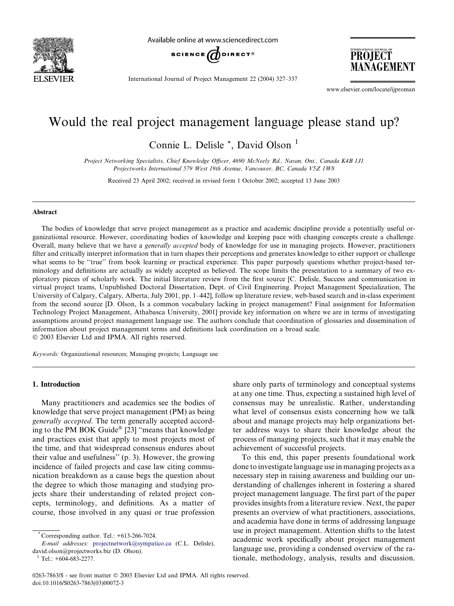

Available online at www.sciencedirect.com



International Journal of Project Management 22 (2004) 327–337

PROJECT MANAGEMENT

www.elsevier.com/locate/ijproman

## Would the real project management language please stand up?

Connie L. Delisle \*, David Olson <sup>1</sup>

Project Networking Specialists, Chief Knowledge Officer, 4690 McNeely Rd., Navan, Ont., Canada K4B 1J1 Projectworks International 579 West 19th Avenue, Vancouver, BC, Canada V5Z 1W8

Received 23 April 2002; received in revised form 1 October 2002; accepted 13 June 2003

#### Abstract

The bodies of knowledge that serve project management as a practice and academic discipline provide a potentially useful organizational resource. However, coordinating bodies of knowledge and keeping pace with changing concepts create a challenge. Overall, many believe that we have a *generally accepted* body of knowledge for use in managing projects. However, practitioners filter and critically interpret information that in turn shapes their perceptions and generates knowledge to either support or challenge what seems to be "true" from book learning or practical experience. This paper purposely questions whether project-based terminology and definitions are actually as widely accepted as believed. The scope limits the presentation to a summary of two exploratory pieces of scholarly work. The initial literature review from the first source [C. Delisle, Success and communication in virtual project teams, Unpublished Doctoral Dissertation, Dept. of Civil Engineering. Project Management Specialization, The University of Calgary, Calgary, Alberta, July 2001, pp. 1–442], follow up literature review, web-based search and in-class experiment from the second source [D. Olson, Is a common vocabulary lacking in project management? Final assignment for Information Technology Project Management, Athabasca University, 2001] provide key information on where we are in terms of investigating assumptions around project management language use. The authors conclude that coordination of glossaries and dissemination of information about project management terms and definitions lack coordination on a broad scale. 2003 Elsevier Ltd and IPMA. All rights reserved.

Keywords: Organizational resources; Managing projects; Language use

#### 1. Introduction

Many practitioners and academics see the bodies of knowledge that serve project management (PM) as being generally accepted. The term generally accepted according to the PM BOK Guide® [23] "means that knowledge and practices exist that apply to most projects most of the time, and that widespread consensus endures about their value and usefulness'' (p. 3). However, the growing incidence of failed projects and case law citing communication breakdown as a cause begs the question about the degree to which those managing and studying projects share their understanding of related project concepts, terminology, and definitions. As a matter of course, those involved in any quasi or true profession

E-mail addresses: [projectnetwork@sympatico.ca](mail to: projectnetwork@sympatico.ca) (C.L. Delisle), david.olson@projectworks.biz (D. Olson).

share only parts of terminology and conceptual systems at any one time. Thus, expecting a sustained high level of consensus may be unrealistic. Rather, understanding what level of consensus exists concerning how we talk about and manage projects may help organizations better address ways to share their knowledge about the process of managing projects, such that it may enable the achievement of successful projects.

To this end, this paper presents foundational work done to investigate language use in managing projects as a necessary step in raising awareness and building our understanding of challenges inherent in fostering a shared project management language. The first part of the paper provides insights from a literature review. Next, the paper presents an overview of what practitioners, associations, and academia have done in terms of addressing language use in project management. Attention shifts to the latest academic work specifically about project management language use, providing a condensed overview of the rationale, methodology, analysis, results and discussion.

Corresponding author. Tel.:  $+613-266-7024$ .

 $1$  Tel.: +604-683-2277.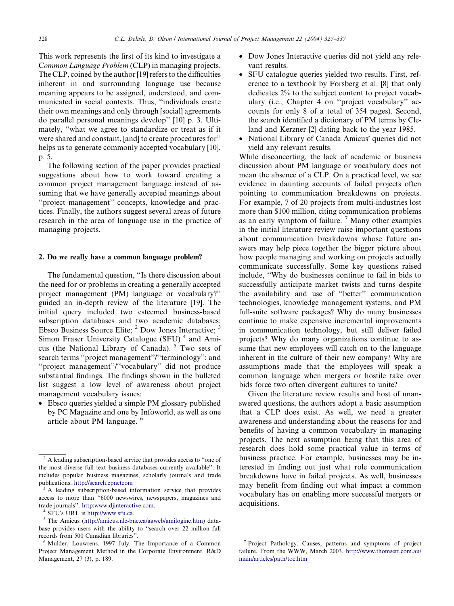This work represents the first of its kind to investigate a Common Language Problem (CLP) in managing projects. The CLP, coined by the author [19] refers to the difficulties inherent in and surrounding language use because meaning appears to be assigned, understood, and communicated in social contexts. Thus, ''individuals create their own meanings and only through [social] agreements do parallel personal meanings develop'' [10] p. 3. Ultimately, ''what we agree to standardize or treat as if it were shared and constant, [and] to create procedures for'' helps us to generate commonly accepted vocabulary [10], p. 5.

The following section of the paper provides practical suggestions about how to work toward creating a common project management language instead of assuming that we have generally accepted meanings about ''project management'' concepts, knowledge and practices. Finally, the authors suggest several areas of future research in the area of language use in the practice of managing projects.

### 2. Do we really have a common language problem?

The fundamental question, ''Is there discussion about the need for or problems in creating a generally accepted project management (PM) language or vocabulary?'' guided an in-depth review of the literature [19]. The initial query included two esteemed business-based subscription databases and two academic databases: Ebsco Business Source Elite; <sup>2</sup> Dow Jones Interactive; <sup>3</sup> Simon Fraser University Catalogue (SFU)<sup>4</sup> and Amicus (the National Library of Canada). <sup>5</sup> Two sets of search terms ''project management''/''terminology''; and "project management"/"vocabulary" did not produce substantial findings. The findings shown in the bulleted list suggest a low level of awareness about project management vocabulary issues:

• Ebsco queries yielded a simple PM glossary published by PC Magazine and one by Infoworld, as well as one article about PM language. <sup>6</sup>

- Dow Jones Interactive queries did not yield any relevant results.
- SFU catalogue queries yielded two results. First, reference to a textbook by Forsberg et al. [8] that only dedicates 2% to the subject content to project vocabulary (i.e., Chapter 4 on ''project vocabulary'' accounts for only 8 of a total of 354 pages). Second, the search identified a dictionary of PM terms by Cleland and Kerzner [2] dating back to the year 1985.
- National Library of Canada Amicus' queries did not yield any relevant results.

While disconcerting, the lack of academic or business discussion about PM language or vocabulary does not mean the absence of a CLP. On a practical level, we see evidence in daunting accounts of failed projects often pointing to communication breakdowns on projects. For example, 7 of 20 projects from multi-industries lost more than \$100 million, citing communication problems as an early symptom of failure.  $\frac{7}{1}$  Many other examples in the initial literature review raise important questions about communication breakdowns whose future answers may help piece together the bigger picture about how people managing and working on projects actually communicate successfully. Some key questions raised include, ''Why do businesses continue to fail in bids to successfully anticipate market twists and turns despite the availability and use of ''better'' communication technologies, knowledge management systems, and PM full-suite software packages? Why do many businesses continue to make expensive incremental improvements in communication technology, but still deliver failed projects? Why do many organizations continue to assume that new employees will catch on to the language inherent in the culture of their new company? Why are assumptions made that the employees will speak a common language when mergers or hostile take over bids force two often divergent cultures to unite?

Given the literature review results and host of unanswered questions, the authors adopt a basic assumption that a CLP does exist. As well, we need a greater awareness and understanding about the reasons for and benefits of having a common vocabulary in managing projects. The next assumption being that this area of research does hold some practical value in terms of business practice. For example, businesses may be interested in finding out just what role communication breakdowns have in failed projects. As well, businesses may benefit from finding out what impact a common vocabulary has on enabling more successful mergers or acquisitions.

<sup>2</sup> A leading subscription-based service that provides access to ''one of the most diverse full text business databases currently available''. It includes popular business magazines, scholarly journals and trade

<sup>&</sup>lt;sup>3</sup> A leading subscription-based information service that provides access to more than ''6000 newswires, newspapers, magazines and trade journals''. [http:www.djinteractive.com.](http://http:www.djinteractive.com) <sup>4</sup> SFUs URL is [http://www.sfu.ca.](http://www.sfu.ca)

<sup>5</sup> The Amicus [\(http://amicus.nlc-bnc.ca/aaweb/amilogine.htm](http://amicus.nlc-bnc.ca/aaweb/amilogine.htm)) database provides users with the ability to ''search over 22 million full records from 500 Canadian libraries''.

<sup>6</sup> Mulder, Louwrens. 1997 July. The Importance of a Common Project Management Method in the Corporate Environment. R&D Management, 27 (3), p. 189.

<sup>7</sup> Project Pathology. Causes, patterns and symptoms of project failure. From the WWW, March 2003. [http://www.thomsett.com.au/](http://www.thomsett.com.au/main/articles/path/toc.htm) [main/articles/path/toc.htm](http://www.thomsett.com.au/main/articles/path/toc.htm)